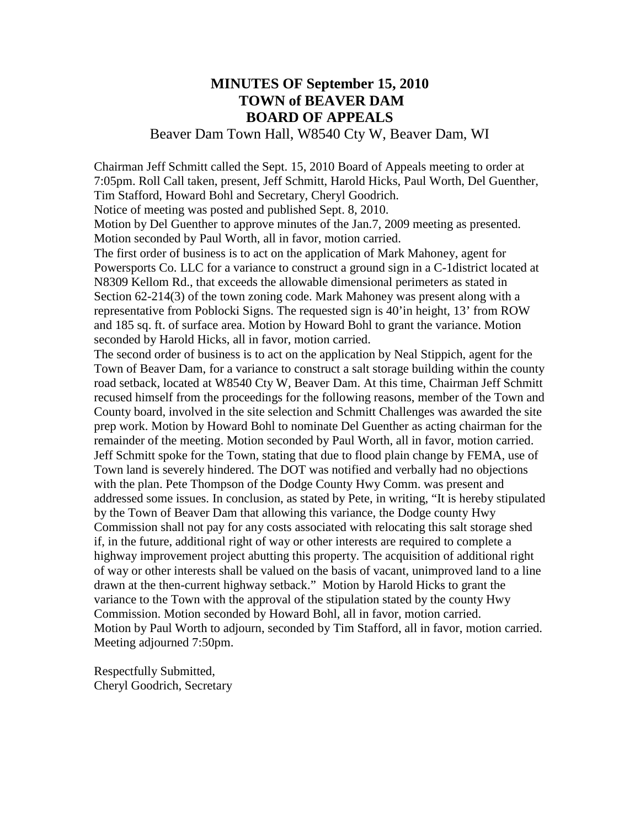## **MINUTES OF September 15, 2010 TOWN of BEAVER DAM BOARD OF APPEALS**

## Beaver Dam Town Hall, W8540 Cty W, Beaver Dam, WI

Chairman Jeff Schmitt called the Sept. 15, 2010 Board of Appeals meeting to order at 7:05pm. Roll Call taken, present, Jeff Schmitt, Harold Hicks, Paul Worth, Del Guenther, Tim Stafford, Howard Bohl and Secretary, Cheryl Goodrich.

Notice of meeting was posted and published Sept. 8, 2010.

Motion by Del Guenther to approve minutes of the Jan.7, 2009 meeting as presented. Motion seconded by Paul Worth, all in favor, motion carried.

The first order of business is to act on the application of Mark Mahoney, agent for Powersports Co. LLC for a variance to construct a ground sign in a C-1district located at N8309 Kellom Rd., that exceeds the allowable dimensional perimeters as stated in Section 62-214(3) of the town zoning code. Mark Mahoney was present along with a representative from Poblocki Signs. The requested sign is 40'in height, 13' from ROW and 185 sq. ft. of surface area. Motion by Howard Bohl to grant the variance. Motion seconded by Harold Hicks, all in favor, motion carried.

The second order of business is to act on the application by Neal Stippich, agent for the Town of Beaver Dam, for a variance to construct a salt storage building within the county road setback, located at W8540 Cty W, Beaver Dam. At this time, Chairman Jeff Schmitt recused himself from the proceedings for the following reasons, member of the Town and County board, involved in the site selection and Schmitt Challenges was awarded the site prep work. Motion by Howard Bohl to nominate Del Guenther as acting chairman for the remainder of the meeting. Motion seconded by Paul Worth, all in favor, motion carried. Jeff Schmitt spoke for the Town, stating that due to flood plain change by FEMA, use of Town land is severely hindered. The DOT was notified and verbally had no objections with the plan. Pete Thompson of the Dodge County Hwy Comm. was present and addressed some issues. In conclusion, as stated by Pete, in writing, "It is hereby stipulated by the Town of Beaver Dam that allowing this variance, the Dodge county Hwy Commission shall not pay for any costs associated with relocating this salt storage shed if, in the future, additional right of way or other interests are required to complete a highway improvement project abutting this property. The acquisition of additional right of way or other interests shall be valued on the basis of vacant, unimproved land to a line drawn at the then-current highway setback." Motion by Harold Hicks to grant the variance to the Town with the approval of the stipulation stated by the county Hwy Commission. Motion seconded by Howard Bohl, all in favor, motion carried. Motion by Paul Worth to adjourn, seconded by Tim Stafford, all in favor, motion carried. Meeting adjourned 7:50pm.

Respectfully Submitted, Cheryl Goodrich, Secretary